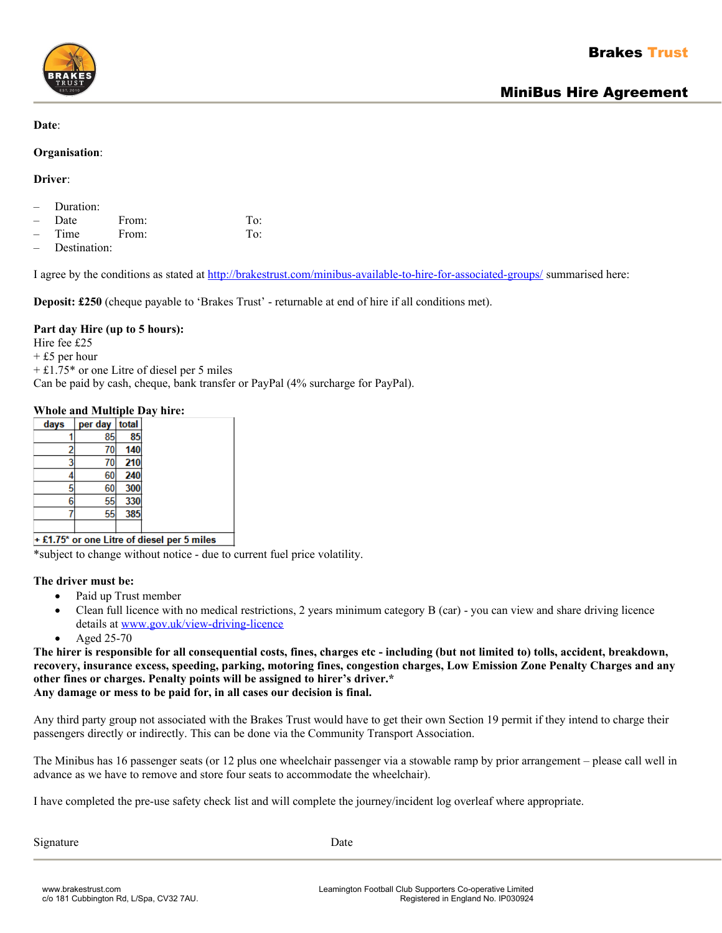

#### **Date**:

#### **Organisation**:

**Driver**:

- Duration:
- Date From: To:
- Time From: To:
- Destination:

I agree by the conditions as stated at<http://brakestrust.com/minibus-available-to-hire-for-associated-groups/>summarised here:

**Deposit: £250** (cheque payable to 'Brakes Trust' - returnable at end of hire if all conditions met).

# **Part day Hire (up to 5 hours):**

Hire fee £25

+ £5 per hour

+ £1.75\* or one Litre of diesel per 5 miles

Can be paid by cash, cheque, bank transfer or PayPal (4% surcharge for PayPal).

# **Whole and Multiple Day hire:**

| days | per day | total |
|------|---------|-------|
|      | 85      | 85    |
|      |         | 140   |
|      | 70      | 210   |
|      | 60      | 240   |
|      | 60      | 300   |
| 6    | 55      | 330   |
|      | 55      | 385   |
|      |         |       |

+ £1.75\* or one Litre of diesel per 5 miles

\*subject to change without notice - due to current fuel price volatility.

### **The driver must be:**

- Paid up Trust member
- Clean full licence with no medical restrictions, 2 years minimum category B (car) you can view and share driving licence details at [www.gov.uk/view-driving-licence](http://www.gov.uk/view-driving-licence)
- Aged 25-70

**The hirer is responsible for all consequential costs, fines, charges etc - including (but not limited to) tolls, accident, breakdown, recovery, insurance excess, speeding, parking, motoring fines, congestion charges, Low Emission Zone Penalty Charges and any other fines or charges. Penalty points will be assigned to hirer's driver.\* Any damage or mess to be paid for, in all cases our decision is final.**

Any third party group not associated with the Brakes Trust would have to get their own Section 19 permit if they intend to charge their passengers directly or indirectly. This can be done via the Community Transport Association.

The Minibus has 16 passenger seats (or 12 plus one wheelchair passenger via a stowable ramp by prior arrangement – please call well in advance as we have to remove and store four seats to accommodate the wheelchair).

I have completed the pre-use safety check list and will complete the journey/incident log overleaf where appropriate.

Signature Date